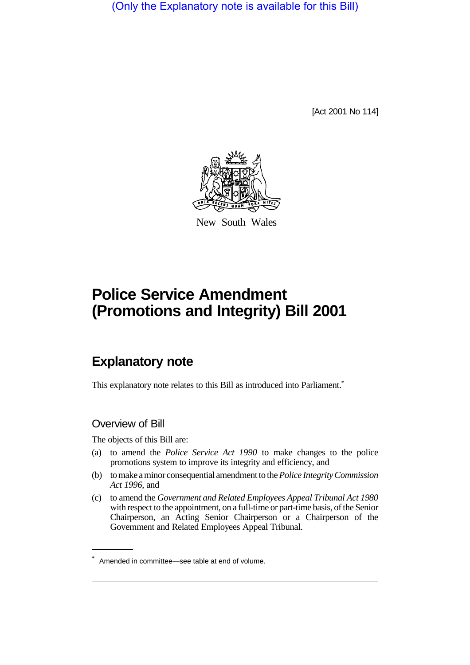(Only the Explanatory note is available for this Bill)

[Act 2001 No 114]



New South Wales

# **Police Service Amendment (Promotions and Integrity) Bill 2001**

## **Explanatory note**

This explanatory note relates to this Bill as introduced into Parliament.<sup>\*</sup>

## Overview of Bill

The objects of this Bill are:

- (a) to amend the *Police Service Act 1990* to make changes to the police promotions system to improve its integrity and efficiency, and
- (b) to make a minor consequential amendment to the *Police Integrity Commission Act 1996*, and
- (c) to amend the *Government and Related Employees Appeal Tribunal Act 1980* with respect to the appointment, on a full-time or part-time basis, of the Senior Chairperson, an Acting Senior Chairperson or a Chairperson of the Government and Related Employees Appeal Tribunal.

<sup>\*</sup> Amended in committee—see table at end of volume.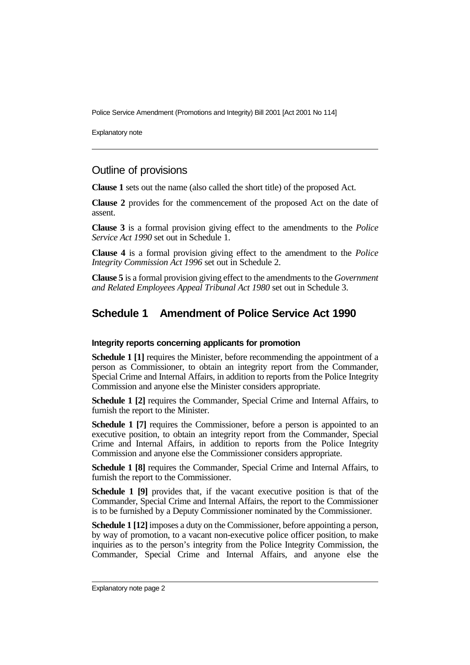Explanatory note

## Outline of provisions

**Clause 1** sets out the name (also called the short title) of the proposed Act.

**Clause 2** provides for the commencement of the proposed Act on the date of assent.

**Clause 3** is a formal provision giving effect to the amendments to the *Police Service Act 1990* set out in Schedule 1.

**Clause 4** is a formal provision giving effect to the amendment to the *Police Integrity Commission Act 1996* set out in Schedule 2.

**Clause 5** is a formal provision giving effect to the amendments to the *Government and Related Employees Appeal Tribunal Act 1980* set out in Schedule 3.

## **Schedule 1 Amendment of Police Service Act 1990**

#### **Integrity reports concerning applicants for promotion**

**Schedule 1 [1]** requires the Minister, before recommending the appointment of a person as Commissioner, to obtain an integrity report from the Commander, Special Crime and Internal Affairs, in addition to reports from the Police Integrity Commission and anyone else the Minister considers appropriate.

**Schedule 1 [2]** requires the Commander, Special Crime and Internal Affairs, to furnish the report to the Minister.

**Schedule 1 [7]** requires the Commissioner, before a person is appointed to an executive position, to obtain an integrity report from the Commander, Special Crime and Internal Affairs, in addition to reports from the Police Integrity Commission and anyone else the Commissioner considers appropriate.

**Schedule 1 [8]** requires the Commander, Special Crime and Internal Affairs, to furnish the report to the Commissioner.

**Schedule 1 [9]** provides that, if the vacant executive position is that of the Commander, Special Crime and Internal Affairs, the report to the Commissioner is to be furnished by a Deputy Commissioner nominated by the Commissioner.

**Schedule 1 [12]** imposes a duty on the Commissioner, before appointing a person, by way of promotion, to a vacant non-executive police officer position, to make inquiries as to the person's integrity from the Police Integrity Commission, the Commander, Special Crime and Internal Affairs, and anyone else the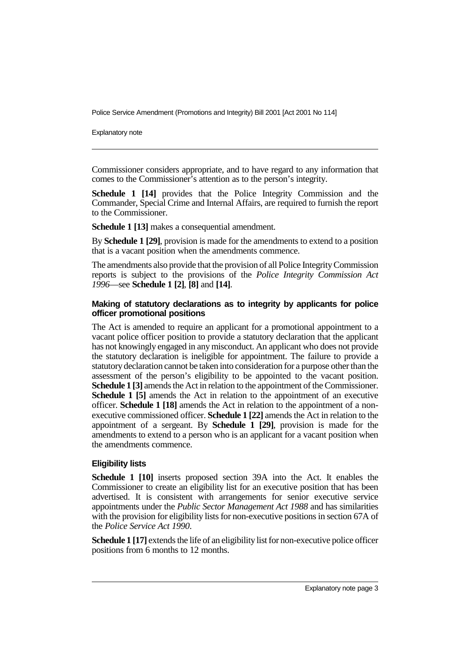Explanatory note

Commissioner considers appropriate, and to have regard to any information that comes to the Commissioner's attention as to the person's integrity.

**Schedule 1 [14]** provides that the Police Integrity Commission and the Commander, Special Crime and Internal Affairs, are required to furnish the report to the Commissioner.

**Schedule 1 [13]** makes a consequential amendment.

By **Schedule 1 [29]**, provision is made for the amendments to extend to a position that is a vacant position when the amendments commence.

The amendments also provide that the provision of all Police Integrity Commission reports is subject to the provisions of the *Police Integrity Commission Act 1996*—see **Schedule 1 [2]**, **[8]** and **[14]**.

#### **Making of statutory declarations as to integrity by applicants for police officer promotional positions**

The Act is amended to require an applicant for a promotional appointment to a vacant police officer position to provide a statutory declaration that the applicant has not knowingly engaged in any misconduct. An applicant who does not provide the statutory declaration is ineligible for appointment. The failure to provide a statutory declaration cannot be taken into consideration for a purpose other than the assessment of the person's eligibility to be appointed to the vacant position. **Schedule 1 [3]** amends the Act in relation to the appointment of the Commissioner. **Schedule 1 [5]** amends the Act in relation to the appointment of an executive officer. **Schedule 1 [18]** amends the Act in relation to the appointment of a nonexecutive commissioned officer. **Schedule 1 [22]** amends the Act in relation to the appointment of a sergeant. By **Schedule 1 [29]**, provision is made for the amendments to extend to a person who is an applicant for a vacant position when the amendments commence.

#### **Eligibility lists**

**Schedule 1 [10]** inserts proposed section 39A into the Act. It enables the Commissioner to create an eligibility list for an executive position that has been advertised. It is consistent with arrangements for senior executive service appointments under the *Public Sector Management Act 1988* and has similarities with the provision for eligibility lists for non-executive positions in section 67A of the *Police Service Act 1990*.

**Schedule 1 [17]** extends the life of an eligibility list for non-executive police officer positions from 6 months to 12 months.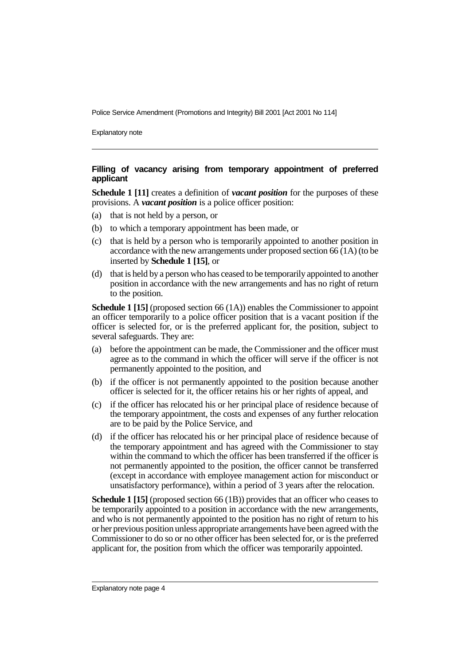Explanatory note

#### **Filling of vacancy arising from temporary appointment of preferred applicant**

**Schedule 1 [11]** creates a definition of *vacant position* for the purposes of these provisions. A *vacant position* is a police officer position:

- (a) that is not held by a person, or
- (b) to which a temporary appointment has been made, or
- (c) that is held by a person who is temporarily appointed to another position in accordance with the new arrangements under proposed section  $66(1A)$  (to be inserted by **Schedule 1 [15]**, or
- (d) that is held by a person who has ceased to be temporarily appointed to another position in accordance with the new arrangements and has no right of return to the position.

**Schedule 1 [15]** (proposed section 66 (1A)) enables the Commissioner to appoint an officer temporarily to a police officer position that is a vacant position if the officer is selected for, or is the preferred applicant for, the position, subject to several safeguards. They are:

- (a) before the appointment can be made, the Commissioner and the officer must agree as to the command in which the officer will serve if the officer is not permanently appointed to the position, and
- (b) if the officer is not permanently appointed to the position because another officer is selected for it, the officer retains his or her rights of appeal, and
- (c) if the officer has relocated his or her principal place of residence because of the temporary appointment, the costs and expenses of any further relocation are to be paid by the Police Service, and
- (d) if the officer has relocated his or her principal place of residence because of the temporary appointment and has agreed with the Commissioner to stay within the command to which the officer has been transferred if the officer is not permanently appointed to the position, the officer cannot be transferred (except in accordance with employee management action for misconduct or unsatisfactory performance), within a period of 3 years after the relocation.

**Schedule 1 [15]** (proposed section 66 (1B)) provides that an officer who ceases to be temporarily appointed to a position in accordance with the new arrangements, and who is not permanently appointed to the position has no right of return to his or her previous position unless appropriate arrangements have been agreed with the Commissioner to do so or no other officer has been selected for, or is the preferred applicant for, the position from which the officer was temporarily appointed.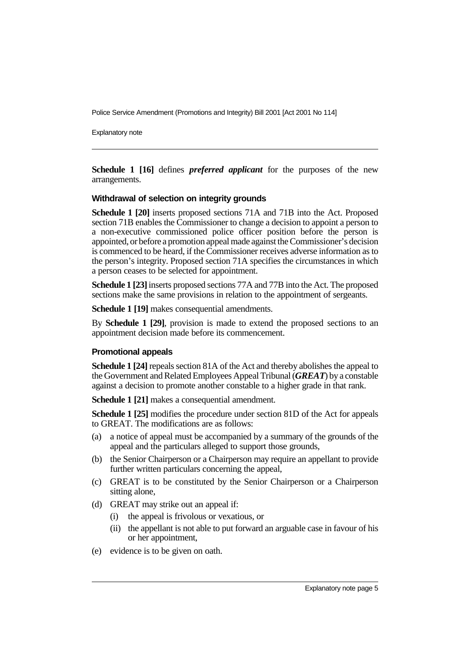Explanatory note

**Schedule 1 [16]** defines *preferred applicant* for the purposes of the new arrangements.

#### **Withdrawal of selection on integrity grounds**

**Schedule 1 [20]** inserts proposed sections 71A and 71B into the Act. Proposed section 71B enables the Commissioner to change a decision to appoint a person to a non-executive commissioned police officer position before the person is appointed, or before a promotion appeal made against the Commissioner's decision is commenced to be heard, if the Commissioner receives adverse information as to the person's integrity. Proposed section 71A specifies the circumstances in which a person ceases to be selected for appointment.

**Schedule 1 [23]** inserts proposed sections 77A and 77B into the Act. The proposed sections make the same provisions in relation to the appointment of sergeants.

**Schedule 1 [19]** makes consequential amendments.

By **Schedule 1 [29]**, provision is made to extend the proposed sections to an appointment decision made before its commencement.

#### **Promotional appeals**

**Schedule 1 [24]** repeals section 81A of the Act and thereby abolishes the appeal to the Government and Related Employees Appeal Tribunal (*GREAT*) by a constable against a decision to promote another constable to a higher grade in that rank.

**Schedule 1 [21]** makes a consequential amendment.

**Schedule 1 [25]** modifies the procedure under section 81D of the Act for appeals to GREAT. The modifications are as follows:

- (a) a notice of appeal must be accompanied by a summary of the grounds of the appeal and the particulars alleged to support those grounds,
- (b) the Senior Chairperson or a Chairperson may require an appellant to provide further written particulars concerning the appeal,
- (c) GREAT is to be constituted by the Senior Chairperson or a Chairperson sitting alone,
- (d) GREAT may strike out an appeal if:
	- (i) the appeal is frivolous or vexatious, or
	- (ii) the appellant is not able to put forward an arguable case in favour of his or her appointment,
- (e) evidence is to be given on oath.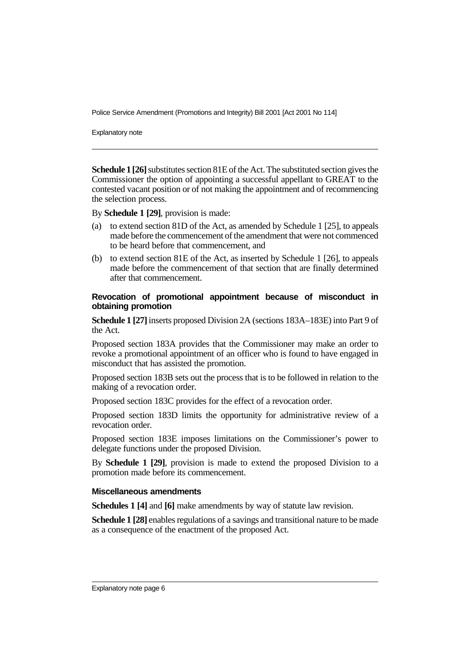Explanatory note

**Schedule 1 [26]** substitutes section 81E of the Act. The substituted section gives the Commissioner the option of appointing a successful appellant to GREAT to the contested vacant position or of not making the appointment and of recommencing the selection process.

By **Schedule 1 [29]**, provision is made:

- (a) to extend section 81D of the Act, as amended by Schedule 1 [25], to appeals made before the commencement of the amendment that were not commenced to be heard before that commencement, and
- (b) to extend section 81E of the Act, as inserted by Schedule 1 [26], to appeals made before the commencement of that section that are finally determined after that commencement.

#### **Revocation of promotional appointment because of misconduct in obtaining promotion**

**Schedule 1 [27]** inserts proposed Division 2A (sections 183A–183E) into Part 9 of the Act.

Proposed section 183A provides that the Commissioner may make an order to revoke a promotional appointment of an officer who is found to have engaged in misconduct that has assisted the promotion.

Proposed section 183B sets out the process that is to be followed in relation to the making of a revocation order.

Proposed section 183C provides for the effect of a revocation order.

Proposed section 183D limits the opportunity for administrative review of a revocation order.

Proposed section 183E imposes limitations on the Commissioner's power to delegate functions under the proposed Division.

By **Schedule 1 [29]**, provision is made to extend the proposed Division to a promotion made before its commencement.

#### **Miscellaneous amendments**

**Schedules 1 [4]** and **[6]** make amendments by way of statute law revision.

**Schedule 1 [28]** enables regulations of a savings and transitional nature to be made as a consequence of the enactment of the proposed Act.